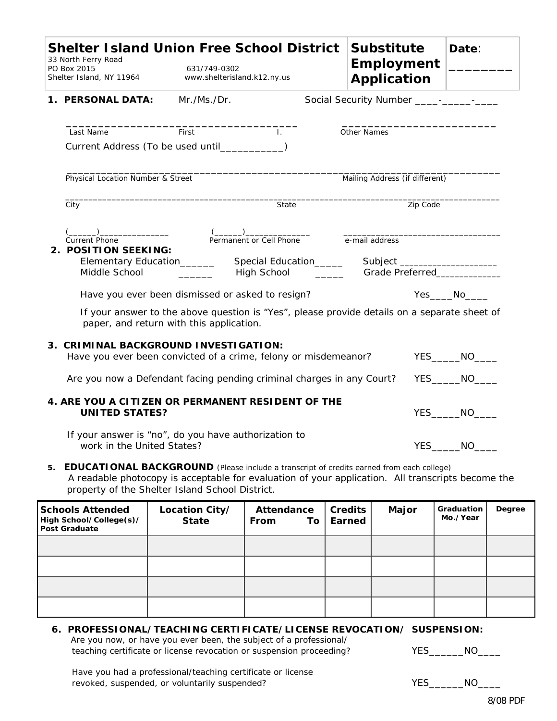|                                                                                      | <b>Shelter Island Union Free School District</b><br>33 North Ferry Road<br>PO Box 2015<br>Shelter Island, NY 11964                                                                                                                                      | <b>Substitute</b><br><b>Employment</b><br><b>Application</b> |                                                                 | Date:                          |          |        |  |  |
|--------------------------------------------------------------------------------------|---------------------------------------------------------------------------------------------------------------------------------------------------------------------------------------------------------------------------------------------------------|--------------------------------------------------------------|-----------------------------------------------------------------|--------------------------------|----------|--------|--|--|
|                                                                                      | 1. PERSONAL DATA:                                                                                                                                                                                                                                       |                                                              |                                                                 |                                |          |        |  |  |
|                                                                                      | Last Name<br>Current Address (To be used until____________)                                                                                                                                                                                             | First                                                        | $\mathbf{L}$                                                    | Other Names                    |          |        |  |  |
|                                                                                      | Physical Location Number & Street                                                                                                                                                                                                                       |                                                              |                                                                 | Mailing Address (if different) |          |        |  |  |
|                                                                                      | City                                                                                                                                                                                                                                                    |                                                              | State                                                           |                                | Zip Code |        |  |  |
|                                                                                      | <b>Current Phone</b><br>2. POSITION SEEKING:<br>Elementary Education_______<br>Middle School                                                                                                                                                            |                                                              | Permanent or Cell Phone<br>e-mail address<br><b>High School</b> |                                |          |        |  |  |
|                                                                                      | Have you ever been dismissed or asked to resign?<br>$Yes$ No $\rule{1em}{0.15mm}$ No $\rule{1.5mm}{0.15mm}$<br>If your answer to the above question is "Yes", please provide details on a separate sheet of<br>paper, and return with this application. |                                                              |                                                                 |                                |          |        |  |  |
|                                                                                      | 3. CRIMINAL BACKGROUND INVESTIGATION:<br>Have you ever been convicted of a crime, felony or misdemeanor?                                                                                                                                                |                                                              |                                                                 |                                |          | YES NO |  |  |
|                                                                                      | Are you now a Defendant facing pending criminal charges in any Court?                                                                                                                                                                                   |                                                              |                                                                 |                                |          | YES NO |  |  |
| 4. ARE YOU A CITIZEN OR PERMANENT RESIDENT OF THE<br><b>UNITED STATES?</b><br>YES NO |                                                                                                                                                                                                                                                         |                                                              |                                                                 |                                |          |        |  |  |
|                                                                                      | If your answer is "no", do you have authorization to<br>work in the United States?                                                                                                                                                                      |                                                              |                                                                 |                                |          | YES NO |  |  |

**5. EDUCATIONAL BACKGROUND** (Please include a transcript of credits earned from each college)A readable photocopy is acceptable for evaluation of your application. All transcripts become the property of the Shelter Island School District.

| <b>Schools Attended</b><br>High School/College(s)/<br><b>Post Graduate</b> | Location City/<br><b>State</b> | Attendance<br>From<br>To <b>T</b> | <b>Credits</b><br>Earned | Major | Graduation<br>Mo./Year | Degree |
|----------------------------------------------------------------------------|--------------------------------|-----------------------------------|--------------------------|-------|------------------------|--------|
|                                                                            |                                |                                   |                          |       |                        |        |
|                                                                            |                                |                                   |                          |       |                        |        |
|                                                                            |                                |                                   |                          |       |                        |        |
|                                                                            |                                |                                   |                          |       |                        |        |

## **6. PROFESSIONAL/TEACHING CERTIFICATE/LICENSE REVOCATION/ SUSPENSION:**

 Are you now, or have you ever been, the subject of a professional/ teaching certificate or license revocation or suspension proceeding? YES\_\_\_\_\_\_NO\_\_\_\_

 Have you had a professional/teaching certificate or license revoked, suspended, or voluntarily suspended? The VES\_\_\_\_\_\_NO\_\_